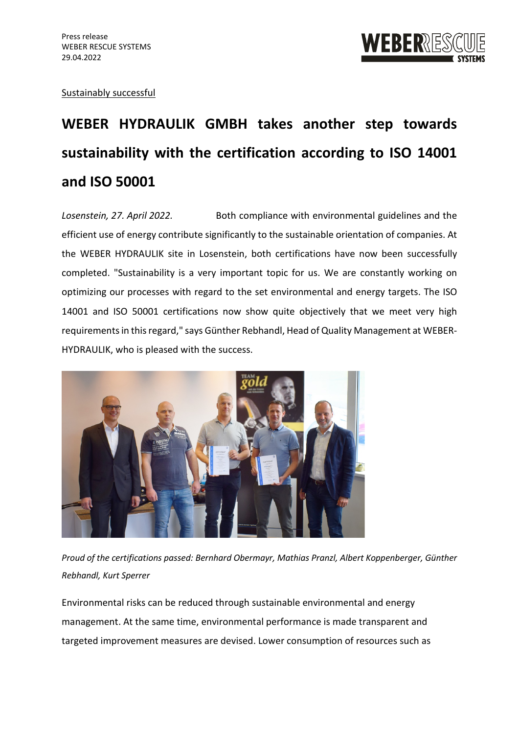

## Sustainably successful

# **WEBER HYDRAULIK GMBH takes another step towards sustainability with the certification according to ISO 14001 and ISO 50001**

*Losenstein, 27. April 2022.* Both compliance with environmental guidelines and the efficient use of energy contribute significantly to the sustainable orientation of companies. At the WEBER HYDRAULIK site in Losenstein, both certifications have now been successfully completed. "Sustainability is a very important topic for us. We are constantly working on optimizing our processes with regard to the set environmental and energy targets. The ISO 14001 and ISO 50001 certifications now show quite objectively that we meet very high requirements in this regard," says Günther Rebhandl, Head of Quality Management at WEBER-HYDRAULIK, who is pleased with the success.



*Proud of the certifications passed: Bernhard Obermayr, Mathias Pranzl, Albert Koppenberger, Günther Rebhandl, Kurt Sperrer*

Environmental risks can be reduced through sustainable environmental and energy management. At the same time, environmental performance is made transparent and targeted improvement measures are devised. Lower consumption of resources such as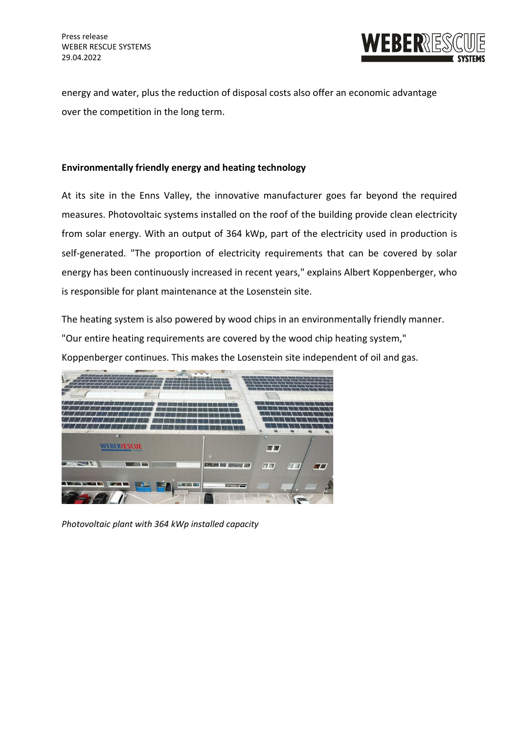

energy and water, plus the reduction of disposal costs also offer an economic advantage over the competition in the long term.

## **Environmentally friendly energy and heating technology**

At its site in the Enns Valley, the innovative manufacturer goes far beyond the required measures. Photovoltaic systems installed on the roof of the building provide clean electricity from solar energy. With an output of 364 kWp, part of the electricity used in production is self-generated. "The proportion of electricity requirements that can be covered by solar energy has been continuously increased in recent years," explains Albert Koppenberger, who is responsible for plant maintenance at the Losenstein site.

The heating system is also powered by wood chips in an environmentally friendly manner. "Our entire heating requirements are covered by the wood chip heating system," Koppenberger continues. This makes the Losenstein site independent of oil and gas.



*Photovoltaic plant with 364 kWp installed capacity*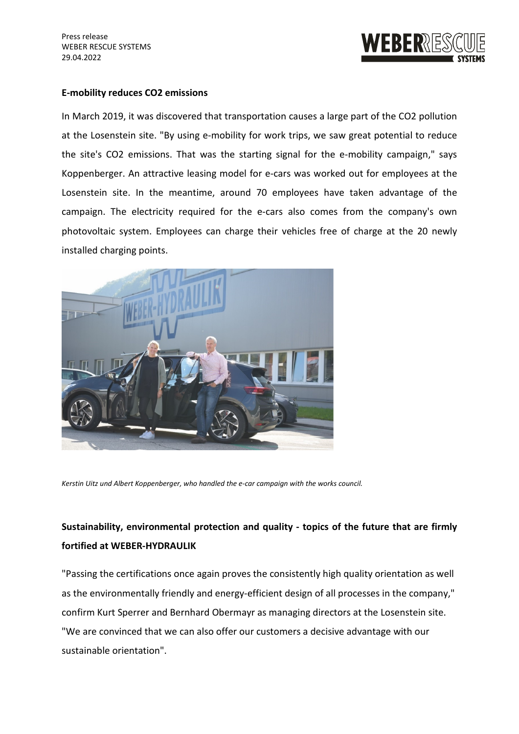Press release WEBER RESCUE SYSTEMS 29.04.2022



#### **E-mobility reduces CO2 emissions**

In March 2019, it was discovered that transportation causes a large part of the CO2 pollution at the Losenstein site. "By using e-mobility for work trips, we saw great potential to reduce the site's CO2 emissions. That was the starting signal for the e-mobility campaign," says Koppenberger. An attractive leasing model for e-cars was worked out for employees at the Losenstein site. In the meantime, around 70 employees have taken advantage of the campaign. The electricity required for the e-cars also comes from the company's own photovoltaic system. Employees can charge their vehicles free of charge at the 20 newly installed charging points.



*Kerstin Uitz und Albert Koppenberger, who handled the e-car campaign with the works council.* 

# **Sustainability, environmental protection and quality - topics of the future that are firmly fortified at WEBER-HYDRAULIK**

"Passing the certifications once again proves the consistently high quality orientation as well as the environmentally friendly and energy-efficient design of all processes in the company," confirm Kurt Sperrer and Bernhard Obermayr as managing directors at the Losenstein site. "We are convinced that we can also offer our customers a decisive advantage with our sustainable orientation".